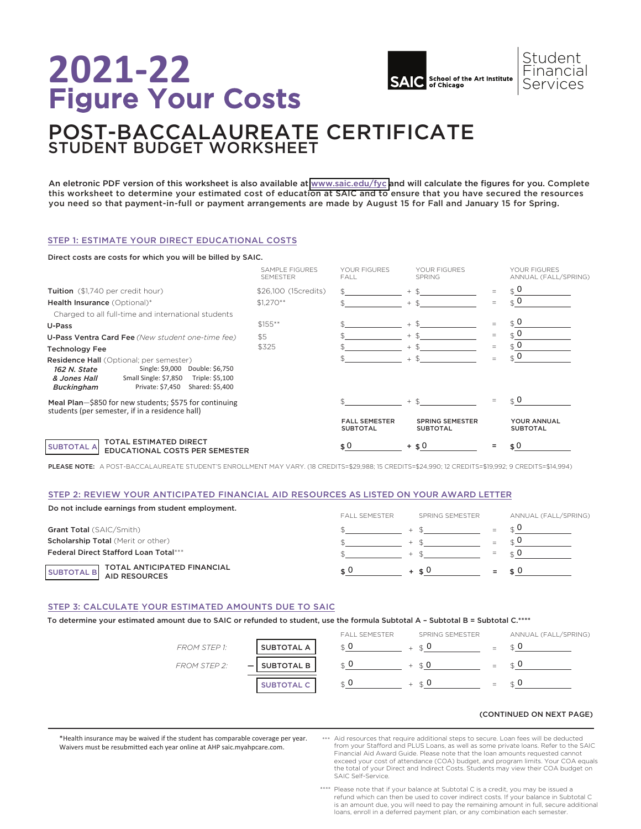## **2021-22** Figure Your Costs



### POST-BACCALAUREATE CERTIFICATE STUDENT BUDGET WORKSHEET

An eletronic PDF version of this worksheet is also available at [www.saic.edu/fyc a](https://www.saic.edu/tuition/figure-your-costs)nd will calculate the figures for you. Complete this worksheet to determine your estimated cost of education at SAIC and to ensure that you have secured the resources you need so that payment-in-full or payment arrangements are made by August 15 for Fall and January 15 for Spring.

#### STEP 1: ESTIMATE YOUR DIRECT EDUCATIONAL COSTS

#### Direct costs are costs for which you will be billed by SAIC.

|                                                                                                                                                                                                                           | <b>SAMPLE FIGURES</b><br><b>SEMESTER</b> | YOUR FIGURES<br><b>FALL</b>             | YOUR FIGURES<br><b>SPRING</b>             |                          | YOUR FIGURES<br>ANNUAL (FALL/SPRING) |
|---------------------------------------------------------------------------------------------------------------------------------------------------------------------------------------------------------------------------|------------------------------------------|-----------------------------------------|-------------------------------------------|--------------------------|--------------------------------------|
| Tuition (\$1,740 per credit hour)                                                                                                                                                                                         | \$26,100 (15credits)                     |                                         | $+$ \$                                    |                          | $\hat{S}$ 0                          |
| Health Insurance (Optional)*                                                                                                                                                                                              | $$1.270**$                               |                                         | $+$ \$                                    | $=$                      | $\mathbf{Q} \times \mathbf{D}$       |
| Charged to all full-time and international students                                                                                                                                                                       |                                          |                                         |                                           |                          |                                      |
| U-Pass                                                                                                                                                                                                                    | $$155***$                                |                                         | $+$ \$                                    | $\overline{\phantom{m}}$ | $\triangleleft$ 0                    |
| <b>U-Pass Ventra Card Fee</b> (New student one-time fee)                                                                                                                                                                  | \$5                                      |                                         | $+$ \$                                    | $=$                      | $\hat{\mathbf{S}}$ 0                 |
| <b>Technology Fee</b>                                                                                                                                                                                                     | \$325                                    |                                         | $+$ \$                                    | $=$                      | $\in 0$                              |
| <b>Residence Hall</b> (Optional; per semester)<br>Single: \$9,000 Double: \$6,750<br>162 N. State<br>Small Single: \$7,850<br>Triple: \$5,100<br>& Jones Hall<br>Private: \$7,450<br>Shared: \$5,400<br><b>Buckingham</b> |                                          |                                         | $+$ \$                                    |                          | $\in \mathbf{0}$                     |
| Meal Plan-\$850 for new students; \$575 for continuing<br>students (per semester, if in a residence hall)                                                                                                                 |                                          |                                         | $+$ \$                                    |                          | $\hat{O}$                            |
|                                                                                                                                                                                                                           |                                          | <b>FALL SEMESTER</b><br><b>SUBTOTAL</b> | <b>SPRING SEMESTER</b><br><b>SUBTOTAL</b> |                          | YOUR ANNUAL<br><b>SUBTOTAL</b>       |
| TOTAL ESTIMATED DIRECT<br><b>SUBTOTAL A</b><br>EDUCATIONAL COSTS PER SEMESTER                                                                                                                                             |                                          | \$O                                     | $+$ \$0                                   |                          | \$0                                  |

PLEASE NOTE: A POST-BACCALAUREATE STUDENT'S ENROLLMENT MAY VARY. (18 CREDITS=\$29,988; 15 CREDITS=\$24,990; 12 CREDITS=\$19,992; 9 CREDITS=\$14,994)

#### STEP 2: REVIEW YOUR ANTICIPATED FINANCIAL AID RESOURCES AS LISTED ON YOUR AWARD LETTER

| Do not include earnings from student employment.                  |                      |                 |                      |
|-------------------------------------------------------------------|----------------------|-----------------|----------------------|
|                                                                   | <b>FALL SEMESTER</b> | SPRING SEMESTER | ANNUAL (FALL/SPRING) |
| <b>Grant Total (SAIC/Smith)</b>                                   |                      |                 |                      |
| <b>Scholarship Total (Merit or other)</b>                         |                      |                 |                      |
| <b>Federal Direct Stafford Loan Total***</b>                      |                      |                 |                      |
| TOTAL ANTICIPATED FINANCIAL<br>AID RESOURCES<br><b>SUBTOTAL B</b> |                      | $+$ $\leq 0$    |                      |

#### STEP 3: CALCULATE YOUR ESTIMATED AMOUNTS DUE TO SAIC

#### To determine your estimated amount due to SAIC or refunded to student, use the formula Subtotal A – Subtotal B = Subtotal C.\*\*\*\*

FALL SEMESTER SPRING SEMESTER ANNUAL (FALL/SPRING)  $\begin{array}{rcl} \texttt{SUBTOTAL A} & \texttt{\$0} & \texttt{\$0} & \texttt{\#} & \texttt{\$0} & \texttt{\#} & \texttt{\$0} \end{array}$  $-\left|$  subtotal b  $\left| \begin{array}{ccc} \text{\#} & 0 & \text{\#} & \text{\#} & 0 \ \end{array} \right|$  = \$\_0  $\text{\#}$ SUBTOTAL C  $\begin{array}{rcl} \text{\$0} & \text{\$0} & + \text{\$0} & = \text{\$0} \end{array}$ SPRING SEMESTER = = = *FROM STEP 1: FROM STEP 2:*

#### (CONTINUED ON NEXT PAGE)

\*Health insurance may be waived if the student has comparable coverage per year. Waivers must be resubmitted each year online at AHP saic.myahpcare.com.

Aid resources that require additional steps to secure. Loan fees will be deducted \*\*\* from your Stafford and PLUS Loans, as well as some private loans. Refer to the SAIC Financial Aid Award Guide. Please note that the loan amounts requested cannot exceed your cost of attendance (COA) budget, and program limits. Your COA equals the total of your Direct and Indirect Costs. Students may view their COA budget on SAIC Self-Service.

Please note that if your balance at Subtotal C is a credit, you may be issued a refund which can then be used to cover indirect costs. If your balance in Subtotal C \*\*\*\* is an amount due, you will need to pay the remaining amount in full, secure additional loans, enroll in a deferred payment plan, or any combination each semester.